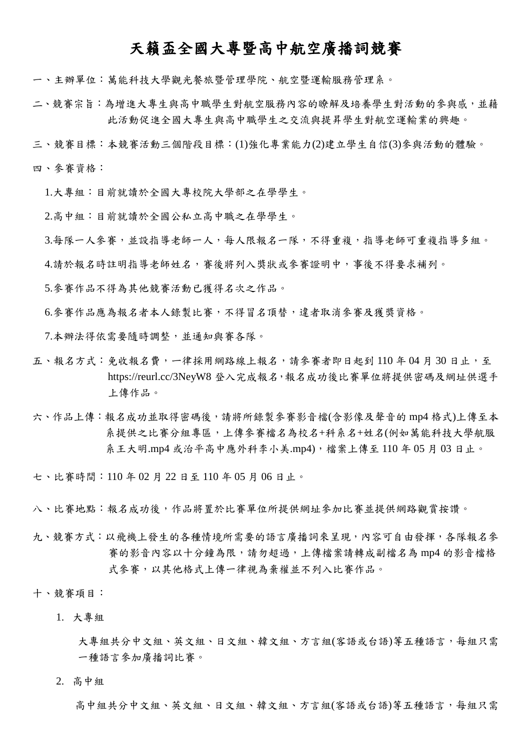# 天籟盃全國大專暨高中航空廣播詞競賽

一、主辦單位:萬能科技大學觀光餐旅暨管理學院、航空暨運輸服務管理系。

二、競賽宗旨:為增進大專生與高中職學生對航空服務內容的瞭解及培養學生對活動的參與感,並藉 此活動促進全國大專生與高中職學生之交流與提昇學生對航空運輸業的興趣。

三、競賽目標:本競賽活動三個階段目標:(1)強化專業能力(2)建立學生自信(3)參與活動的體驗。

四、參賽資格:

1.大專組:目前就讀於全國大專校院大學部之在學學生。

2.高中組:目前就讀於全國公私立高中職之在學學生。

3.每隊一人參賽,並設指導老師一人,每人限報名一隊,不得重複,指導老師可重複指導多組。

4.請於報名時註明指導老師姓名,審後將列入獎狀或參賽證明中,事後不得要求補列。

5.參賽作品不得為其他競賽活動已獲得名次之作品。

6.參賽作品應為報名者本人錄製比賽,不得冒名頂替,違者取消參賽及獲獎資格。

7.本辦法得依需要隨時調整,並通知與賽各隊。

- 五、報名方式:免收報名費,一律採用網路線上報名,請參賽者即日起到110年04月30日止,至 https://reurl.cc/3NeyW8 登入完成報名,報名成功後比賽單位將提供密碼及網址供選手 上傳作品。
- 六、作品上傳:報名成功並取得密碼後,請將所錄製參賽影音檔(含影像及聲音的 mp4 格式)上傳至本 系提供之比賽分組專區,上傳參賽檔名為校名+科系名+姓名(例如萬能科技大學航服 系王大明.mp4 或治平高中應外科李小美.mp4),檔案上傳至 110 年 05 月 03 日止。

七、比賽時間:110 年 02 月 22 日至 110 年 05 月 06 日止。

八、比賽地點:報名成功後,作品將置於比賽單位所提供網址參加比賽並提供網路觀賞按讚。

九、競賽方式:以飛機上發生的各種情境所需要的語言廣播詞來呈現,內容可自由發揮,各隊報名參 賽的影音內容以十分鐘為限,請勿超過,上傳檔案請轉成副檔名為 mp4 的影音檔格 式參賽,以其他格式上傳一律視為棄權並不列入比賽作品。

十、競賽項目:

1. 大專組

大專組共分中文組、英文組、日文組、韓文組、方言組(客語或台語)等五種語言,每組只需 一種語言參加廣播詞比賽。

2. 高中組

高中組共分中文組、英文組、日文組、韓文組、方言組(客語或台語)等五種語言,每組只需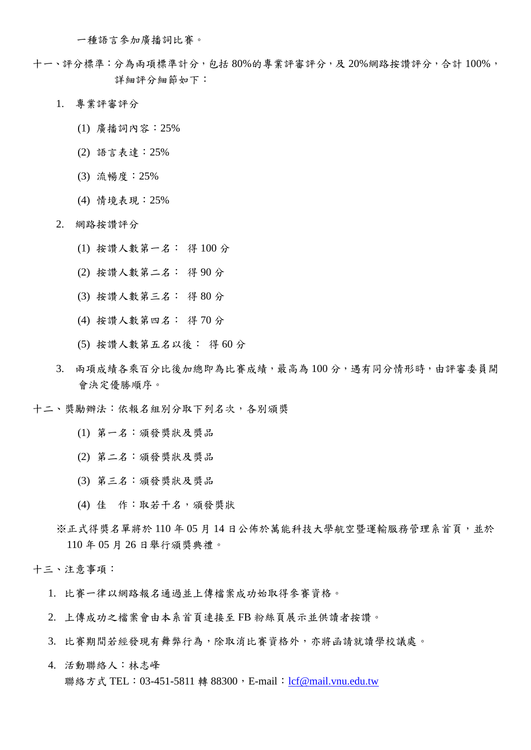一種語言參加廣播詞比賽。

- 十一、評分標準:分為兩項標準計分,包括 80%的專業評審評分,及 20%網路按讚評分,合計 100%, 詳細評分細節如下:
	- 1. 專業評審評分
		- (1) 廣播詞內容:25%
		- (2) 語言表達:25%
		- (3) 流暢度:25%
		- (4) 情境表現:25%
	- 2. 網路按讚評分
		- (1) 按讚人數第一名: 得 100 分
		- (2) 按讚人數第二名: 得 90 分
		- (3) 按讚人數第三名: 得 80 分
		- (4) 按讚人數第四名: 得 70 分
		- (5) 按讚人數第五名以後: 得 60 分
	- 3. 兩項成績各乘百分比後加總即為比賽成績,最高為 100 分,遇有同分情形時,由評審委員開 會決定優勝順序。
- 十二、獎勵辦法:依報名組別分取下列名次,各別頒獎
	- (1) 第一名:頒發獎狀及獎品
	- (2) 第二名:頒發獎狀及獎品
	- (3) 第三名:頒發獎狀及獎品
	- (4) 佳 作:取若干名,頒發獎狀
	- ※正式得獎名單將於 110年05月14日公佈於萬能科技大學航空暨運輸服務管理系首頁,並於 110 年 05 月 26 日舉行頒獎典禮。

十三、注意事項:

- 1. 比賽一律以網路報名通過並上傳檔案成功始取得參賽資格。
- 2. 上傳成功之檔案會由本系首頁連接至 FB 粉絲頁展示並供讀者按讚。
- 3. 比賽期間若經發現有舞弊行為,除取消比賽資格外,亦將函請就讀學校議處。
- 4. 活動聯絡人:林志峰 聯絡方式 TEL: 03-451-5811 轉 88300, E-mail: [lcf@mail.vnu.edu.tw](mailto:lcf@mail.vnu.edu.tw)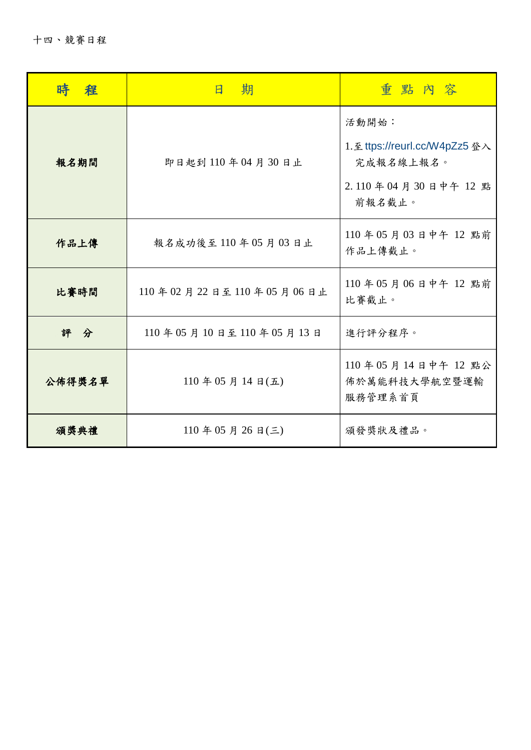|        | 期<br>$\overline{B}$    | 重點內容                                                                                |
|--------|------------------------|-------------------------------------------------------------------------------------|
| 報名期間   | 即日起到110年04月30日止        | 活動開始:<br>1. 至 ttps://reurl.cc/W4pZz5 登入<br>完成報名線上報名。<br>2.110年04月30日中午12點<br>前報名截止。 |
| 作品上傳   | 報名成功後至110年05月03日止      | 110年05月03日中午12點前<br>作品上傳截止。                                                         |
| 比賽時間   | 110年02月22日至110年05月06日止 | 110年05月06日中午12點前<br>比賽截止。                                                           |
| 評分     | 110年05月10日至110年05月13日  | 進行評分程序。                                                                             |
| 公佈得獎名單 | $110$ 年 05 月 14 日(五)   | 110年05月14日中午12點公<br>佈於萬能科技大學航空暨運輸<br>服務管理系首頁                                        |
| 頒獎典禮   | $110$ 年 05 月 26 日(三)   | 頒發獎狀及禮品。                                                                            |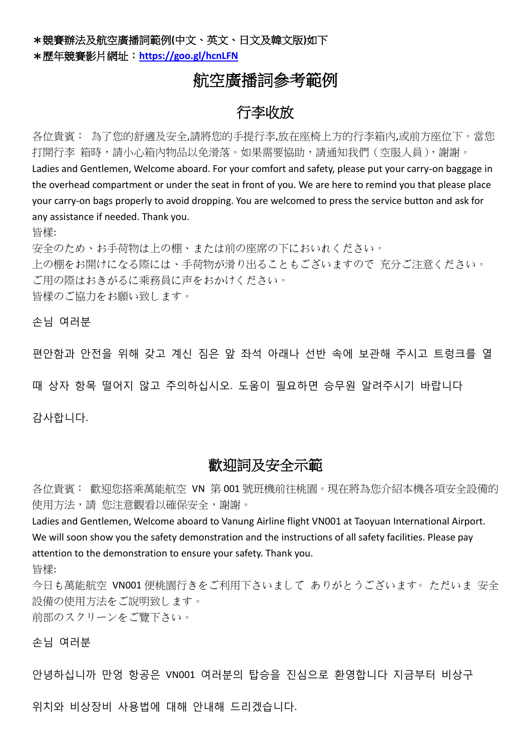\*競賽辦法及航空廣播詞範例**(**中文、英文、日文及韓文版**)**如下 \*歷年競賽影片網址:**<https://goo.gl/hcnLFN>**

# 航空廣播詞參考範例

# 行李收放

各位貴賓: 為了您的舒適及安全,請將您的手提行李,放在座椅上方的行李箱內,或前方座位下。當您 打開行李 箱時,請小心箱內物品以免滑落。如果需要協助,請通知我們(空服人員),謝謝。 Ladies and Gentlemen, Welcome aboard. For your comfort and safety, please put your carry-on baggage in the overhead compartment or under the seat in front of you. We are here to remind you that please place your carry-on bags properly to avoid dropping. You are welcomed to press the service button and ask for any assistance if needed. Thank you.

皆樣:

安全のため、お手荷物は上の棚、または前の座席の下においれください。 上の棚をお開けになる際には、手荷物が滑り出ることもございますので 充分ご注意ください。 ご用の際はおきがるに乘務員に声をおかけください。 皆樣のご協力をお願い致します。

손님 여러분

편안함과 안전을 위해 갖고 계신 짐은 앞 좌석 아래나 선반 속에 보관해 주시고 트렁크를 열

때 상자 항목 떨어지 않고 주의하십시오. 도움이 필요하면 승무원 알려주시기 바랍니다

감사합니다.

## 歡迎詞及安全示範

各位貴賓: 歡迎您搭乘萬能航空 VN 第 001 號班機前往桃園。現在將為您介紹本機各項安全設備的 使用方法,請 您注意觀看以確保安全,謝謝。

Ladies and Gentlemen, Welcome aboard to Vanung Airline flight VN001 at Taoyuan International Airport. We will soon show you the safety demonstration and the instructions of all safety facilities. Please pay attention to the demonstration to ensure your safety. Thank you.

皆樣:

今日も萬能航空 VN001 便桃園行きをご利用下さいまして ありがとうございます。 ただいま 安全 設備の使用方法をご說明致します。 前部のスクリーンをご覽下さい。

손님 여러분

안녕하십니까 만엉 항공은 VN001 여러분의 탑승을 진심으로 환영합니다 지금부터 비상구

위치와 비상장비 사용법에 대해 안내해 드리겠습니다.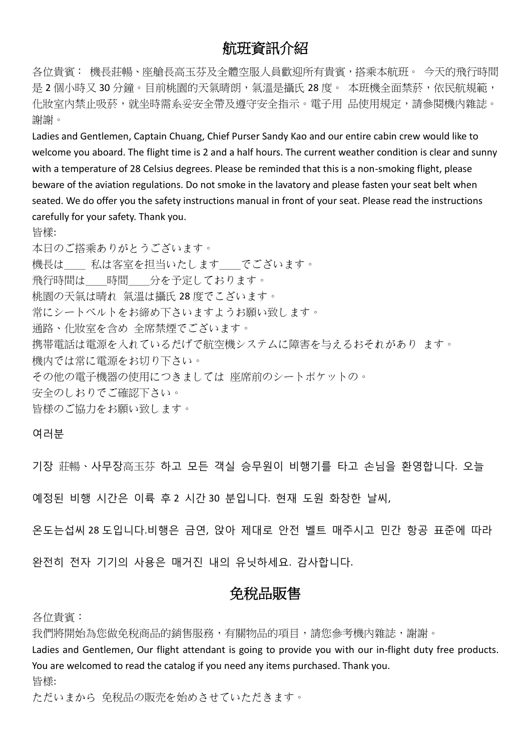# 航班資訊介紹

各位貴賓: 機長莊暢、座艙長高玉芬及全體空服人員歡迎所有貴賓,搭乘本航班。 今天的飛行時間 是 2 個小時又 30 分鐘。目前桃園的天氣晴朗,氣溫是攝氏 28 度。 本班機全面禁菸,依民航規範, 化妝室內禁止吸菸,就坐時需系妥安全帶及遵守安全指示。電子用 品使用規定,請參閱機內雜誌。 謝謝。

Ladies and Gentlemen, Captain Chuang, Chief Purser Sandy Kao and our entire cabin crew would like to welcome you aboard. The flight time is 2 and a half hours. The current weather condition is clear and sunny with a temperature of 28 Celsius degrees. Please be reminded that this is a non-smoking flight, please beware of the aviation regulations. Do not smoke in the lavatory and please fasten your seat belt when seated. We do offer you the safety instructions manual in front of your seat. Please read the instructions carefully for your safety. Thank you.

皆樣:

本日のご搭乘ありがとうございます。 機長は 私は客室を担当いたします でございます。 飛行時間は 時間 分を予定しております。 桃園の天氣は晴れ 氣溫は攝氏 28 度でこざいます。 常にシートべルトをお締め下さいますようお願い致します。 通路、化妝室を含め 全席禁煙でございます。 携帯電話は電源を入れているだげで航空機システムに障害を与えるおそれがあり ます。 機内では常に電源をお切り下さい。 その他の電子機器の使用につきましては 座席前のシートポケットの。 安全のしおりでご確認下さい。 皆様のご協力をお願い致します。

여러분

기장 莊暢、사무장高玉芬 하고 모든 객실 승무원이 비행기를 타고 손님을 환영합니다. 오늘

예정된 비행 시간은 이륙 후 2 시간 30 분입니다. 현재 도원 화창한 날씨,

온도는섭씨 28 도입니다.비행은 금연, 앉아 제대로 안전 벨트 매주시고 민간 항공 표준에 따라

완전히 전자 기기의 사용은 매거진 내의 유닛하세요. 감사합니다.

## 免稅品販售

各位貴賓:

我們將開始為您做免稅商品的銷售服務,有關物品的項目,請您參考機內雜誌,謝謝。

Ladies and Gentlemen, Our flight attendant is going to provide you with our in-flight duty free products. You are welcomed to read the catalog if you need any items purchased. Thank you.

皆様:

ただいまから 免稅品の販売を始めさせていただきます。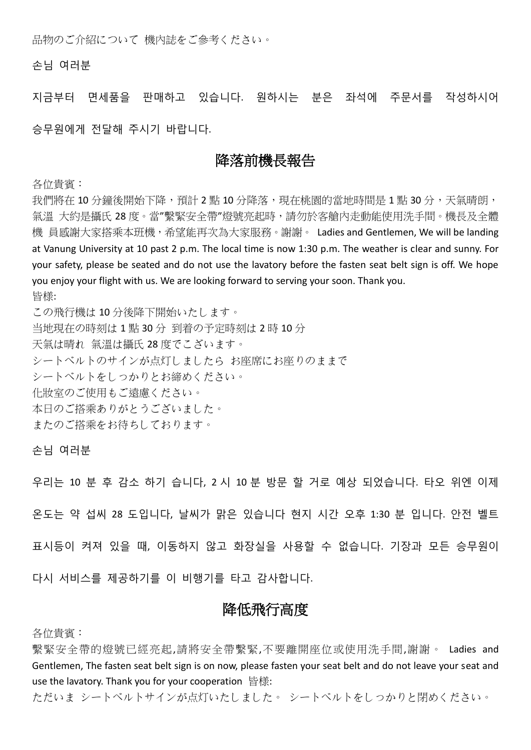品物のご介紹について 機內誌をご參考ください。

손님 여러분

지금부터 면세품을 판매하고 있습니다. 원하시는 분은 좌석에 주문서를 작성하시어

승무원에게 전달해 주시기 바랍니다.

#### 降落前機長報告

各位貴賓:

我們將在 10 分鐘後開始下降,預計 2 點 10 分降落,現在桃園的當地時間是 1 點 30 分,天氣晴朗, 氣溫 大約是攝氏 28 度。當"繫緊安全帶"燈號亮起時,請勿於客艙內走動能使用洗手間。機長及全體 機 員感謝大家搭乘本班機,希望能再次為大家服務。謝謝。 Ladies and Gentlemen, We will be landing at Vanung University at 10 past 2 p.m. The local time is now 1:30 p.m. The weather is clear and sunny. For your safety, please be seated and do not use the lavatory before the fasten seat belt sign is off. We hope you enjoy your flight with us. We are looking forward to serving your soon. Thank you. 皆様:

この飛行機は 10 分後降下開始いたします。 当地現在の時刻は 1 點 30 分 到着の予定時刻は 2 時 10 分 天氣は晴れ 氣溫は攝氏 28 度でこざいます。 シートベルトのサインが点灯しましたら お座席にお座りのままで シートベルトをしっかりとお締めください。 化妝室のご使用もご遠慮ください。 本日のご搭乘ありがとうございました。 またのご搭乘をお待ちしております。

손님 여러분

우리는 10 분 후 감소 하기 습니다, 2 시 10 분 방문 할 거로 예상 되었습니다. 타오 위엔 이제 온도는 약 섭씨 28 도입니다, 날씨가 맑은 있습니다 현지 시간 오후 1:30 분 입니다. 안전 벨트 표시등이 켜져 있을 때, 이동하지 않고 화장실을 사용할 수 없습니다. 기장과 모든 승무원이 다시 서비스를 제공하기를 이 비행기를 타고 감사합니다.

### 降低飛行高度

各位貴賓:

繫緊安全帶的燈號已經亮起,請將安全帶繫緊,不要離開座位或使用洗手間,謝謝。 Ladies and Gentlemen, The fasten seat belt sign is on now, please fasten your seat belt and do not leave your seat and use the lavatory. Thank you for your cooperation 皆様:

ただいま シートベルトサインが点灯いたしました。 シートベルトをしっかりと閉めください。